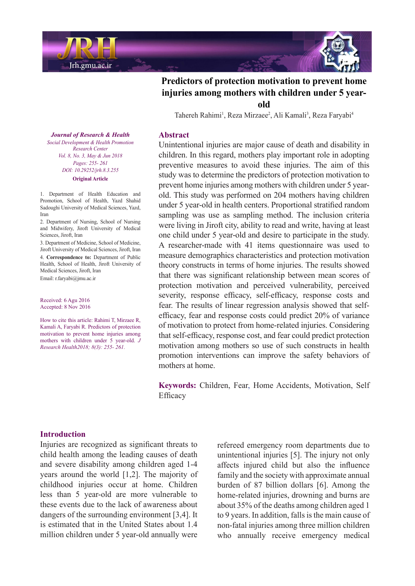



Tahereh Rahimi<sup>1</sup>, Reza Mirzaee<sup>2</sup>, Ali Kamali<sup>3</sup>, Reza Faryabi<sup>4</sup>

#### **Abstract**

Unintentional injuries are major cause of death and disability in children. In this regard, mothers play important role in adopting preventive measures to avoid these injuries. The aim of this study was to determine the predictors of protection motivation to old. This study was performed on 204 mothers having children prevent home injuries among mothers with children under 5 yearunder 5 year-old in health centers. Proportional stratified random sampling was use as sampling method. The inclusion criteria were living in Jiroft city, ability to read and write, having at least one child under 5 year-old and desire to participate in the study. A researcher-made with 41 items questionnaire was used to measure demographics characteristics and protection motivation theory constructs in terms of home injuries. The results showed that there was significant relationship between mean scores of protection motivation and perceived vulnerability, perceived severity, response efficacy, self-efficacy, response costs and efficacy, fear and response costs could predict  $20\%$  of variance fear. The results of linear regression analysis showed that selfof motivation to protect from home-related injuries. Considering that self-efficacy, response cost, and fear could predict protection motivation among mothers so use of such constructs in health promotion interventions can improve the safety behaviors of mothers at home.

Keywords: Children, Fear, Home Accidents, Motivation, Self Efficacy

**Journal of Research & Health** *Social Development & Health Promotion Center Research Vol. 8, No. 3, May & Jun 2018 Pages*: 255- 261 *DOI*: 10.29252/jrh.8.3.255 **Original** Article

1. Department of Health Education and Promotion, School of Health, Yazd Shahid Sadoughi University of Medical Sciences, Yazd. Iran

2. Department of Nursing, School of Nursing and Midwifery, Jiroft University of Medical Sciences Jiroft Iran

3. Department of Medicine, School of Medicine, Jiroft University of Medical Sciences, Jiroft, Iran 4. Correspondence to: Department of Public Health, School of Health, Jiroft University of Medical Sciences, Jiroft, Iran Email: r.faryabi@jmu.ac.ir

Received: 6 Agu 2016 Accepted: 8 Nov 2016

How to cite this article: Rahimi T, Mirzaee R, Kamali A, Faryabi R. Predictors of protection motivation to prevent home injuries among mothers with children under 5 year-old. J *Research Health 2018*; 8(3): 255- 261.

## **Introduction**

Injuries are recognized as significant threats to child health among the leading causes of death and severe disability among children aged 1-4 years around the world  $[1,2]$ . The majority of childhood injuries occur at home. Children less than 5 year-old are more vulnerable to these events due to the lack of awareness about dangers of the surrounding environment  $[3,4]$ . It is estimated that in the United States about 1.4 million children under 5 year-old annually were refereed emergency room departments due to unintentional injuries [5]. The injury not only affects injured child but also the influence family and the society with approximate annual burden of 87 billion dollars  $[6]$ . Among the home-related injuries, drowning and burns are about 35% of the deaths among children aged 1 to 9 years. In addition, falls is the main cause of non-fatal injuries among three million children who annually receive emergency medical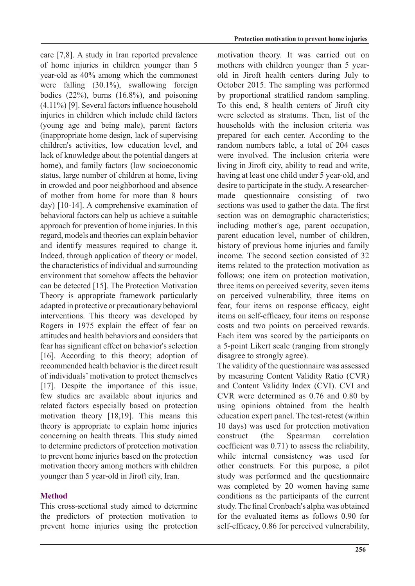care  $[7,8]$ . A study in Iran reported prevalence of home injuries in children younger than 5 year-old as  $40\%$  among which the commonest were falling  $(30.1\%)$ , swallowing foreign bodies  $(22\%)$ , burns  $(16.8\%)$ , and poisoning  $(4.11\%)$  [9]. Several factors influence household injuries in children which include child factors (young age and being male), parent factors (inappropriate home design, lack of supervising children's activities, low education level, and lack of knowledge about the potential dangers at home), and family factors (low socioeconomic status, large number of children at home, living in crowded and poor neighborhood and absence of mother from home for more than 8 hours day)  $[10-14]$ . A comprehensive examination of behavioral factors can help us achieve a suitable approach for prevention of home injuries. In this regard, models and theories can explain behavior and identify measures required to change it. Indeed, through application of theory or model, the characteristics of individual and surrounding environment that somehow affects the behavior can be detected [15]. The Protection Motivation Theory is appropriate framework particularly adapted in protective or precautionary behavioral interventions. This theory was developed by Rogers in 1975 explain the effect of fear on attitudes and health behaviors and considers that fear has significant effect on behavior's selection [16]. According to this theory; adoption of recommended health behavior is the direct result of individuals' motivation to protect themselves  $[17]$ . Despite the importance of this issue, few studies are available about injuries and related factors especially based on protection motivation theory  $[18,19]$ . This means this theory is appropriate to explain home injuries concerning on health threats. This study aimed to determine predictors of protection motivation to prevent home injuries based on the protection motivation theory among mothers with children younger than 5 year-old in Jiroft city, Iran.

# **Method**

This cross-sectional study aimed to determine the predictors of protection motivation to prevent home injuries using the protection motivation theory. It was carried out on old in Jiroft health centers during July to mothers with children younger than 5 year-October 2015. The sampling was performed by proportional stratified random sampling. To this end, 8 health centers of Jiroft city were selected as stratums. Then, list of the households with the inclusion criteria was prepared for each center. According to the random numbers table, a total of 204 cases were involved. The inclusion criteria were living in Jiroft city, ability to read and write, having at least one child under 5 year-old, and made questionnaire consisting of two desire to participate in the study. A researchersections was used to gather the data. The first section was on demographic characteristics; including mother's age, parent occupation, parent education level, number of children, history of previous home injuries and family income. The second section consisted of 32 items related to the protection motivation as follows; one item on protection motivation, three items on perceived severity, seven items on perceived vulnerability, three items on fear, four items on response efficacy, eight items on self-efficacy, four items on response costs and two points on perceived rewards. Each item was scored by the participants on a 5-point Likert scale (ranging from strongly disagree to strongly agree).

The validity of the questionnaire was assessed by measuring Content Validity Ratio (CVR) and Content Validity Index (CVI). CVI and CVR were determined as  $0.76$  and  $0.80$  by using opinions obtained from the health education expert panel. The test-retest (within 10 days) was used for protection motivation construct (the Spearman correlation coefficient was  $0.71$  to assess the reliability. while internal consistency was used for other constructs. For this purpose, a pilot study was performed and the questionnaire was completed by 20 women having same conditions as the participants of the current study. The final Cronbach's alpha was obtained for the evaluated items as follows  $0.90$  for self-efficacy, 0.86 for perceived vulnerability,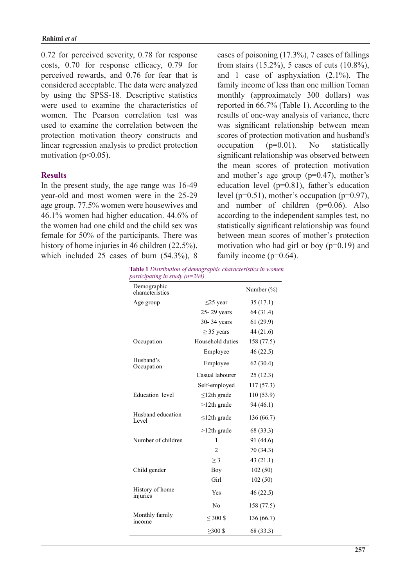$0.72$  for perceived severity,  $0.78$  for response costs,  $0.70$  for response efficacy,  $0.79$  for perceived rewards, and 0.76 for fear that is considered acceptable. The data were analyzed by using the SPSS-18. Descriptive statistics were used to examine the characteristics of women. The Pearson correlation test was used to examine the correlation between the protection motivation theory constructs and linear regression analysis to predict protection motivation ( $p<0.05$ ).

## **Results**

In the present study, the age range was 16-49 year-old and most women were in the 25-29 age group. 77.5% women were housewives and  $46.1\%$  women had higher education.  $44.6\%$  of the women had one child and the child sex was female for  $50\%$  of the participants. There was history of home injuries in 46 children  $(22.5\%)$ . which included 25 cases of burn  $(54.3\%)$ , 8 cases of poisoning  $(17.3\%)$ , 7 cases of fallings from stairs  $(15.2\%)$ , 5 cases of cuts  $(10.8\%)$ , and 1 case of asphyxiation  $(2.1\%)$ . The family income of less than one million Toman monthly (approximately 300 dollars) was reported in  $66.7\%$  (Table 1). According to the results of one-way analysis of variance, there was significant relationship between mean scores of protection motivation and husband's occupation  $(p=0.01)$ . No statistically significant relationship was observed between the mean scores of protection motivation and mother's age group ( $p=0.47$ ), mother's education level ( $p=0.81$ ), father's education level ( $p=0.51$ ), mother's occupation ( $p=0.97$ ), and number of children  $(p=0.06)$ . Also according to the independent samples test, no statistically significant relationship was found between mean scores of mother's protection motivation who had girl or boy  $(p=0.19)$  and family income  $(p=0.64)$ .

**Table 1** Distribution of demographic characteristics in women *participating in study (n=204)* 

| Demographic<br>characteristics |                   | Number $(\% )$ |  |
|--------------------------------|-------------------|----------------|--|
| Age group                      | $\leq$ 25 year    | 35(17.1)       |  |
|                                | 25-29 years       | 64 (31.4)      |  |
|                                | 30-34 years       | 61(29.9)       |  |
|                                | $\geq$ 35 years   | 44 (21.6)      |  |
| Occupation                     | Household duties  | 158 (77.5)     |  |
|                                | Employee          | 46 (22.5)      |  |
| Husband's<br>Occupation        | Employee          | 62(30.4)       |  |
|                                | Casual labourer   | 25(12.3)       |  |
|                                | Self-employed     | 117 (57.3)     |  |
| Education level                | $\leq$ 12th grade | 110 (53.9)     |  |
|                                | $>12$ th grade    | 94 (46.1)      |  |
| Husband education<br>Level     | $\leq$ 12th grade | 136 (66.7)     |  |
|                                | $>12$ th grade    | 68 (33.3)      |  |
| Number of children             | 1                 | 91 (44.6)      |  |
|                                | 2                 | 70 (34.3)      |  |
|                                | $\geq$ 3          | 43(21.1)       |  |
| Child gender                   | Boy               | 102(50)        |  |
|                                | Girl              | 102(50)        |  |
| History of home<br>injuries    | Yes               | 46(22.5)       |  |
|                                | No                | 158 (77.5)     |  |
| Monthly family<br>income       | $\leq 300$ \$     | 136 (66.7)     |  |
|                                | $>300$ \$         | 68 (33.3)      |  |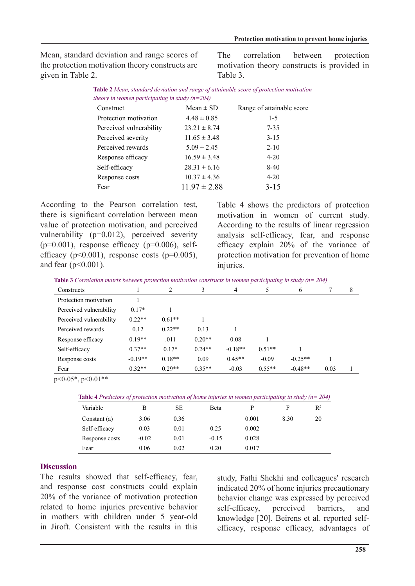Mean, standard deviation and range scores of the protection motivation theory constructs are given in Table 2.

The correlation between protection motivation theory constructs is provided in Table 3.

| Construct               | $Mean \pm SD$    | Range of attainable score |
|-------------------------|------------------|---------------------------|
| Protection motivation   | $4.48 \pm 0.85$  | $1-5$                     |
| Perceived vulnerability | $23.21 \pm 8.74$ | $7 - 35$                  |
| Perceived severity      | $11.65 \pm 3.48$ | $3 - 15$                  |
| Perceived rewards       | $5.09 \pm 2.45$  | $2 - 10$                  |
| Response efficacy       | $16.59 \pm 3.48$ | $4 - 20$                  |
| Self-efficacy           | $28.31 \pm 6.16$ | $8-40$                    |
| Response costs          | $10.37 \pm 4.36$ | $4 - 20$                  |
| Fear                    | $11.97 \pm 2.88$ | $3 - 15$                  |

**Table 2** *Mean, standard deviation and range of attainable score of protection motivation theory in women participating in study*  $(n=204)$ 

According to the Pearson correlation test, there is significant correlation between mean value of protection motivation, and perceived vulnerability  $(p=0.012)$ , perceived severity efficacy ( $p<0.001$ ), response costs ( $p=0.005$ ),  $(p=0.001)$ , response efficacy  $(p=0.006)$ , selfand fear  $(p<0.001)$ .

Table 4 shows the predictors of protection motivation in women of current study. According to the results of linear regression analysis self-efficacy, fear, and response efficacy explain 20% of the variance of protection motivation for prevention of home .injuries

**Table 3** Correlation matrix between protection motivation constructs in women participating in study (n= 204)

| Constructs              |           | $\overline{c}$ | 3        | 4         |          | 6         |      | 8 |
|-------------------------|-----------|----------------|----------|-----------|----------|-----------|------|---|
| Protection motivation   |           |                |          |           |          |           |      |   |
| Perceived vulnerability | $0.17*$   |                |          |           |          |           |      |   |
| Perceived vulnerability | $0.22**$  | $0.61**$       |          |           |          |           |      |   |
| Perceived rewards       | 0.12      | $0.22**$       | 0.13     |           |          |           |      |   |
| Response efficacy       | $0.19**$  | .011           | $0.20**$ | 0.08      |          |           |      |   |
| Self-efficacy           | $0.37**$  | $0.17*$        | $0.24**$ | $-0.18**$ | $0.51**$ |           |      |   |
| Response costs          | $-0.19**$ | $0.18**$       | 0.09     | $0.45**$  | $-0.09$  | $-0.25**$ |      |   |
| Fear                    | $0.32**$  | $0.29**$       | $0.35**$ | $-0.03$   | $0.55**$ | $-0.48**$ | 0.03 |   |

 $p < 0.05$ \*,  $p < 0.01$ \*\*

| <b>Table 4</b> Predictors of protection motivation of home injuries in women participating in study ( $n = 204$ ) |  |  |
|-------------------------------------------------------------------------------------------------------------------|--|--|
|-------------------------------------------------------------------------------------------------------------------|--|--|

| Variable       | В       | SЕ   | Beta    |       |      | $R^2$ |
|----------------|---------|------|---------|-------|------|-------|
| Constant (a)   | 3.06    | 0.36 |         | 0.001 | 8.30 | 20    |
| Self-efficacy  | 0.03    | 0.01 | 0.25    | 0.002 |      |       |
| Response costs | $-0.02$ | 0.01 | $-0.15$ | 0.028 |      |       |
| Fear           | 0.06    | 0.02 | 0.20    | 0.017 |      |       |

#### **Discussion**

The results showed that self-efficacy, fear, and response cost constructs could explain 20% of the variance of motivation protection related to home injuries preventive behavior in mothers with children under 5 year-old in Jiroft. Consistent with the results in this

study, Fathi Shekhi and colleagues' research indicated 20% of home injuries precautionary behavior change was expressed by perceived<br>self-efficacy, perceived barriers, and self-efficacy, perceived barriers, and efficacy, response efficacy, advantages of knowledge [20]. Beirens et al. reported self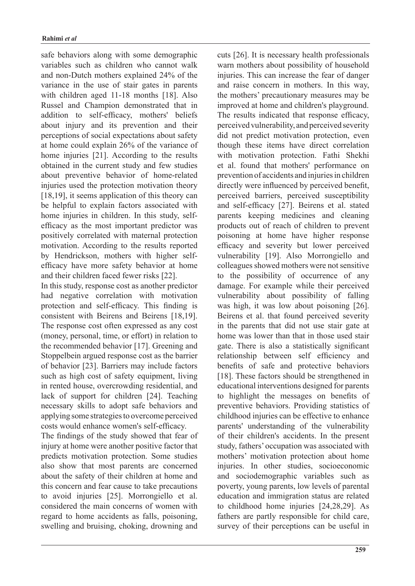safe behaviors along with some demographic variables such as children who cannot walk and non-Dutch mothers explained 24% of the variance in the use of stair gates in parents with children aged  $11-18$  months  $[18]$ . Also Russel and Champion demonstrated that in addition to self-efficacy, mothers' beliefs about injury and its prevention and their perceptions of social expectations about safety at home could explain  $26%$  of the variance of home injuries  $[21]$ . According to the results obtained in the current study and few studies about preventive behavior of home-related injuries used the protection motivation theory [ $18,19$ ], it seems application of this theory can be helpful to explain factors associated with efficacy as the most important predictor was home injuries in children. In this study, selfpositively correlated with maternal protection motivation. According to the results reported efficacy have more safety behavior at home by Hendrickson, mothers with higher selfand their children faced fewer risks [22].

In this study, response cost as another predictor had negative correlation with motivation protection and self-efficacy. This finding is consistent with Beirens and Beirens [18,19]. The response cost often expressed as any cost (money, personal, time, or effort) in relation to the recommended behavior [17]. Greening and Stoppelbein argued response cost as the barrier of behavior [23]. Barriers may include factors such as high cost of safety equipment, living in rented house, overcrowding residential, and lack of support for children [24]. Teaching necessary skills to adopt safe behaviors and applying some strategies to overcome perceived costs would enhance women's self-efficacy.

The findings of the study showed that fear of injury at home were another positive factor that predicts motivation protection. Some studies also show that most parents are concerned about the safety of their children at home and this concern and fear cause to take precautions to avoid injuries [25]. Morrongiello et al. considered the main concerns of women with regard to home accidents as falls, poisoning, swelling and bruising, choking, drowning and warn mothers about possibility of household injuries. This can increase the fear of danger and raise concern in mothers. In this way, the mothers' precautionary measures may be improved at home and children's playground. The results indicated that response efficacy, perceived vulnerability, and perceived severity did not predict motivation protection, even though these items have direct correlation with motivation protection. Fathi Shekhi et al. found that mothers' performance on prevention of accidents and injuries in children directly were influenced by perceived benefit, perceived barriers, perceived susceptibility and self-efficacy [27]. Beirens et al. stated parents keeping medicines and cleaning products out of reach of children to prevent poisoning at home have higher response efficacy and severity but lower perceived vulnerability [19]. Also Morrongiello and colleagues showed mothers were not sensitive to the possibility of occurrence of any damage. For example while their perceived vulnerability about possibility of falling was high, it was low about poisoning  $[26]$ . Beirens et al. that found perceived severity in the parents that did not use stair gate at home was lower than that in those used stair gate. There is also a statistically significant relationship between self efficiency and benefits of safe and protective behaviors [18]. These factors should be strengthened in educational interventions designed for parents to highlight the messages on benefits of preventive behaviors. Providing statistics of childhood injuries can be effective to enhance parents' understanding of the vulnerability of their children's accidents. In the present study, fathers' occupation was associated with mothers' motivation protection about home injuries. In other studies, socioeconomic and sociodemographic variables such as poverty, young parents, low levels of parental education and immigration status are related to childhood home injuries  $[24,28,29]$ . As fathers are partly responsible for child care, survey of their perceptions can be useful in

cuts  $[26]$ . It is necessary health professionals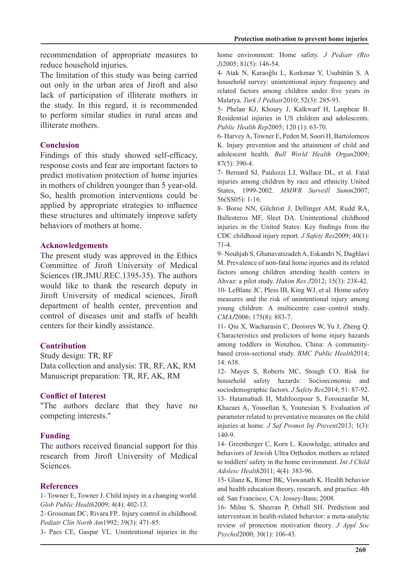recommendation of appropriate measures to reduce household injuries.

The limitation of this study was being carried out only in the urban area of Jiroft and also lack of participation of illiterate mothers in the study. In this regard, it is recommended to perform similar studies in rural areas and illiterate mothers

## **Conclusion**

Findings of this study showed self-efficacy, response costs and fear are important factors to predict motivation protection of home injuries in mothers of children younger than 5 year-old. So, health promotion interventions could be applied by appropriate strategies to influence these structures and ultimately improve safety hehaviors of mothers at home

### **Acknowledgements**

The present study was approved in the Ethics Committee of Jiroft University of Medical Sciences (IR.JMU.REC.1395-35). The authors would like to thank the research deputy in Jiroft University of medical sciences, Jiroft department of health center, prevention and control of diseases unit and staffs of health centers for their kindly assistance.

# **Contribution**

Study design: TR, RF Data collection and analysis: TR, RF, AK, RM Manuscript preparation: TR, RF, AK, RM

### **Conflict of Interest**

"The authors declare that they have no competing interests."

# **Funding**

The authors received financial support for this research from Jiroft University of Medical .Sciences

### **References**

1- Towner E, Towner J. Child injury in a changing world. Glob Public Health 2009; 4(4): 402-13.

2- Grossman DC, Rivara FP.. Injury control in childhood. Pediatr Clin North Am 1992; 39(3): 471-85.

3- Paes CE, Gaspar VL. Unintentional injuries in the

home environment: Home safety. *J Pediatr (Rio*) J)2005; 81(5): 146-54.

4- Atak N, Karaoğlu L, Korkmaz Y, Usubütün S. A household survey: unintentional injury frequency and related factors among children under five years in Malatya. Turk J Pediatr 2010; 52(3): 285-93.

5- Phelan KJ, Khoury J, Kalkwarf H, Lanphear B. Residential injuries in US children and adolescents. Public Health Rep2005; 120 (1): 63-70.

6- Harvey A, Towner E, Peden M, Soori H, Bartolomeos K. Injury prevention and the attainment of child and adolescent health. Bull World Health Organ 2009;  $87(5):$  390-4.

7- Bernard SJ, Paulozzi LJ, Wallace DL, et al. Fatal injuries among children by race and ethnicity United States, 1999-2002. MMWR Surveill Summ 2007; 56(SS05): 1-16.

8- Borse NN, Gilchrist J, Dellinger AM, Rudd RA, Ballesteros MF, Sleet DA. Unintentional childhood injuries in the United States: Key findings from the CDC childhood injury report. *J Safety Res* 2009; 40(1): 71-4.

9- Nouhjah S, Ghanavatizadeh A, Eskandri N, Daghlavi M. Prevalence of non-fatal-home injuries and its related factors among children attending health centers in Ahvaz: a pilot study. *Hakim Res J*2012; 15(3): 238-42. 10- LeBlanc JC, Pless IB, King WJ, et al. Home safety measures and the risk of unintentional injury among young children: A multicentre case-control study. CMAJ2006; 175(8): 883-7.

11- Qiu X, Wacharasin C, Deoisres W, Yu J, Zheng Q. Characteristics and predictors of home injury hazards based cross-sectional study. BMC Public Health2014; among toddlers in Wenzhou, China: A community-638. 14:

12- Mayes S, Roberts MC, Stough CO. Risk for household safety hazards: Socioeconomic and sociodemographic factors. *J Safety Res* 2014; 51: 87-92. 13- Hatamabadi H, Mahfoozpour S, Forouzanfar M, Khazaei A, Yousefian S, Younesian S. Evaluation of parameter related to preventative measures on the child injuries at home. *J Saf Promot Inj Prevent* 2013: 1(3): 140-9.

14- Greenberger C, Korn L. Knowledge, attitudes and behaviors of Jewish Ultra Orthodox mothers as related to toddlers' safety in the home environment. *Int J Child* Adolesc Health 2011; 4(4): 383-96.

15- Glanz K, Rimer BK, Viswanath K. Health behavior and health education theory, research, and practice. 4th ed. San Francisco, CA: Jossey-Bass; 2008.

16- Milne S. Sheeran P. Orball SH. Prediction and intervention in health-related behavior: a meta-analytic review of protection motivation theory. *J Appl Soc* Psychol2000; 30(1): 106-43.